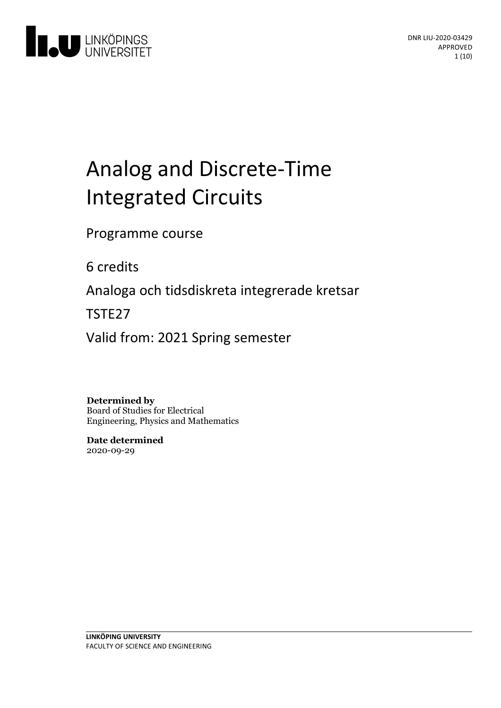

# Analogand Discrete-Time Integrated Circuits

Programme course

6 credits

Analoga och tidsdiskreta integrerade kretsar

TSTE27

Valid from: 2021 Spring semester

**Determined by** Board of Studies for Electrical Engineering, Physics and Mathematics

**Date determined** 2020-09-29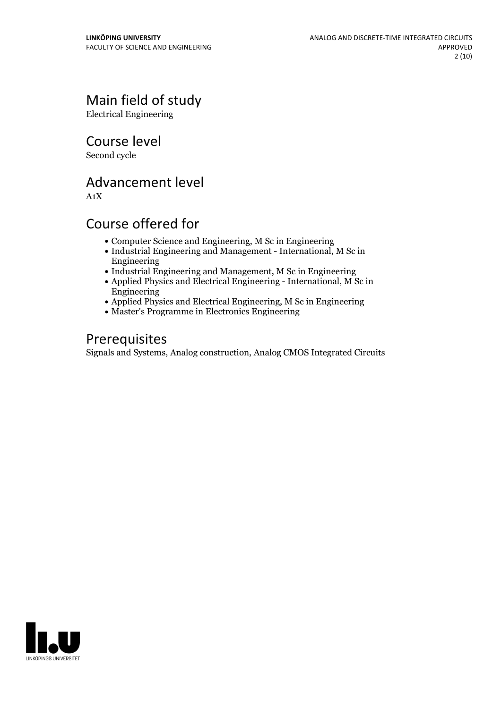# Main field of study

Electrical Engineering

Course level

Second cycle

# Advancement level

A1X

# Course offered for

- Computer Science and Engineering, M Sc in Engineering
- Industrial Engineering and Management International, M Sc in Engineering
- Industrial Engineering and Management, M Sc in Engineering
- Applied Physics and Electrical Engineering International, M Sc in Engineering
- Applied Physics and Electrical Engineering, M Sc in Engineering
- Master's Programme in Electronics Engineering

# Prerequisites

Signals and Systems, Analog construction, Analog CMOS Integrated Circuits

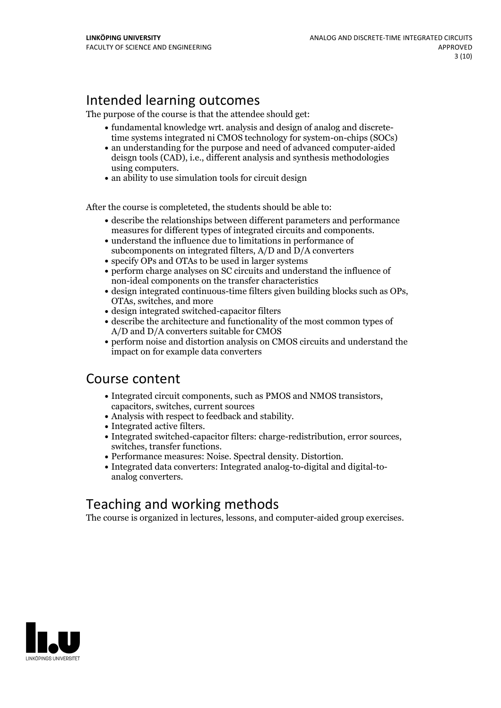# Intended learning outcomes

The purpose of the course is that the attendee should get:

- fundamental knowledge wrt. analysis and design of analog and discretetime systems integrated ni CMOS technology for system-on-chips (SOCs)
- an understanding for the purpose and need of advanced computer-aided deisgn tools (CAD), i.e., different analysis and synthesis methodologies
- using computers.<br>• an ability to use simulation tools for circuit design

After the course is completeted, the students should be able to:

- describe the relationships between different parameters and performance
- measures for different types of integrated circuits and components.<br>• understand the influence due to limitations in performance of subcomponents on integrated filters, A/D and D/A converters
- specify OPs and OTAs to be used in larger systems
- perform charge analyses on SC circuits and understand the influence of non-ideal components on the transfer characteristics
- design integrated continuous-time filters given building blocks such as OPs, OTAs, switches, and more
- design integrated switched-capacitor filters
- describe the architecture and functionality of the most common types of A/D and D/A converters suitable for CMOS
- perform noise and distortion analysis on CMOS circuits and understand the impact on for example data converters

# Course content

- Integrated circuit components, such as PMOS and NMOS transistors, capacitors, switches, current sources
- 
- 
- Analysis with respect to feedback and stability.<br>
 Integrated active filters.<br>
 Integrated switched-capacitor filters: charge-redistribution, error sources,<br>
switches, transfer functions.<br>
 Performance measures: Nois
- 
- 

# Teaching and working methods

The course is organized in lectures, lessons, and computer-aided group exercises.

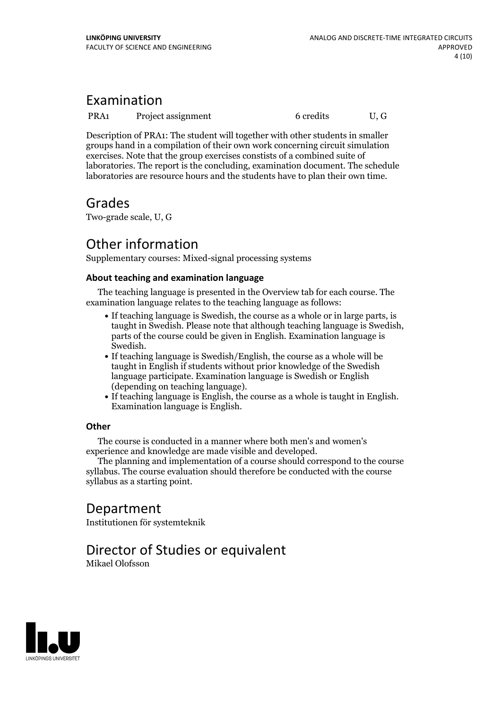# Examination

PRA1 Project assignment 6 credits U, G

Description of PRA1: The student will together with other students in smaller groups hand in a compilation of their own work concerning circuit simulation exercises. Note that the group exercises constists of a combined suite of laboratories. The report is the concluding, examination document. The schedule laboratories are resource hours and the students have to plan their own time.

# Grades

Two-grade scale, U, G

# Other information

Supplementary courses: Mixed-signal processing systems

#### **About teaching and examination language**

The teaching language is presented in the Overview tab for each course. The examination language relates to the teaching language as follows:

- If teaching language is Swedish, the course as a whole or in large parts, is taught in Swedish. Please note that although teaching language is Swedish, parts of the course could be given in English. Examination language is
- If teaching language is Swedish/English, the course as a whole will be taught in English if students without prior knowledge of the Swedish language participate. Examination language is Swedish or English
- If teaching language is English, the course as a whole is taught in English. Examination language is English.

#### **Other**

The course is conducted in a manner where both men's and women's

experience and knowledge are made visible and developed. The planning and implementation of <sup>a</sup> course should correspond to the course syllabus. The course evaluation should therefore be conducted with the course syllabus as a starting point.

# Department

Institutionen för systemteknik

# Director of Studies or equivalent

Mikael Olofsson

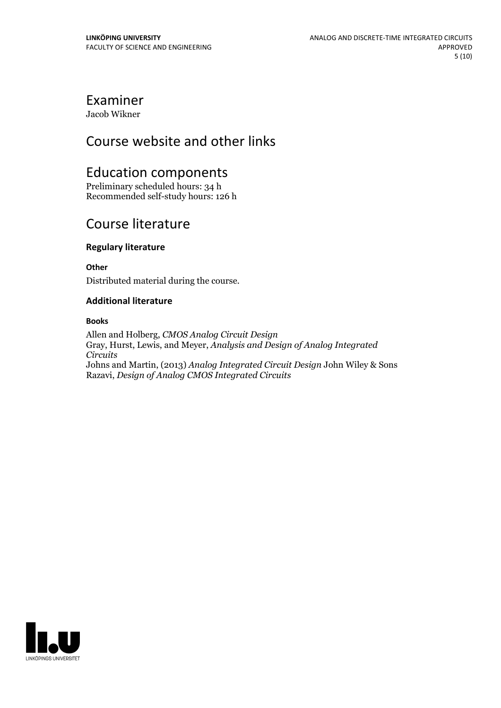# Examiner

Jacob Wikner

# Course website and other links

# Education components

Preliminary scheduled hours: 34 h Recommended self-study hours: 126 h

# Course literature

#### **Regulary literature**

**Other**

Distributed material during the course.

#### **Additional literature**

#### **Books**

Allen and Holberg, *CMOS Analog Circuit Design* Gray, Hurst, Lewis, and Meyer, *Analysis and Design of Analog Integrated Circuits* Johns and Martin, (2013) *Analog Integrated Circuit Design* John Wiley & Sons Razavi, *Design of Analog CMOS Integrated Circuits*

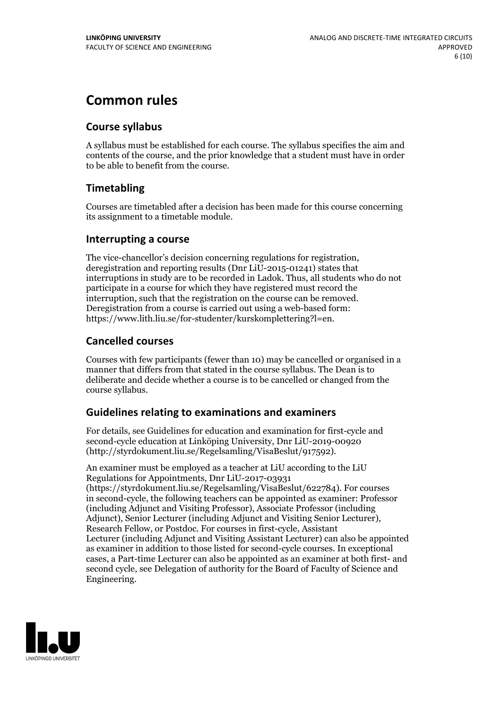# **Common rules**

#### **Course syllabus**

A syllabus must be established for each course. The syllabus specifies the aim and contents of the course, and the prior knowledge that a student must have in order to be able to benefit from the course.

#### **Timetabling**

Courses are timetabled after a decision has been made for this course concerning its assignment to a timetable module.

#### **Interrupting a course**

The vice-chancellor's decision concerning regulations for registration, deregistration and reporting results (Dnr LiU-2015-01241) states that interruptions in study are to be recorded in Ladok. Thus, all students who do not participate in a course for which they have registered must record the interruption, such that the registration on the course can be removed. Deregistration from <sup>a</sup> course is carried outusing <sup>a</sup> web-based form: https://www.lith.liu.se/for-studenter/kurskomplettering?l=en.

#### **Cancelled courses**

Courses with few participants (fewer than 10) may be cancelled or organised in a manner that differs from that stated in the course syllabus. The Dean is to deliberate and decide whether a course is to be cancelled or changed from the course syllabus.

#### **Guidelines relatingto examinations and examiners**

For details, see Guidelines for education and examination for first-cycle and second-cycle education at Linköping University, Dnr LiU-2019-00920 (http://styrdokument.liu.se/Regelsamling/VisaBeslut/917592).

An examiner must be employed as a teacher at LiU according to the LiU Regulations for Appointments, Dnr LiU-2017-03931 (https://styrdokument.liu.se/Regelsamling/VisaBeslut/622784). For courses in second-cycle, the following teachers can be appointed as examiner: Professor (including Adjunct and Visiting Professor), Associate Professor (including Adjunct), Senior Lecturer (including Adjunct and Visiting Senior Lecturer), Research Fellow, or Postdoc. For courses in first-cycle, Assistant Lecturer (including Adjunct and Visiting Assistant Lecturer) can also be appointed as examiner in addition to those listed for second-cycle courses. In exceptional cases, a Part-time Lecturer can also be appointed as an examiner at both first- and second cycle, see Delegation of authority for the Board of Faculty of Science and Engineering.

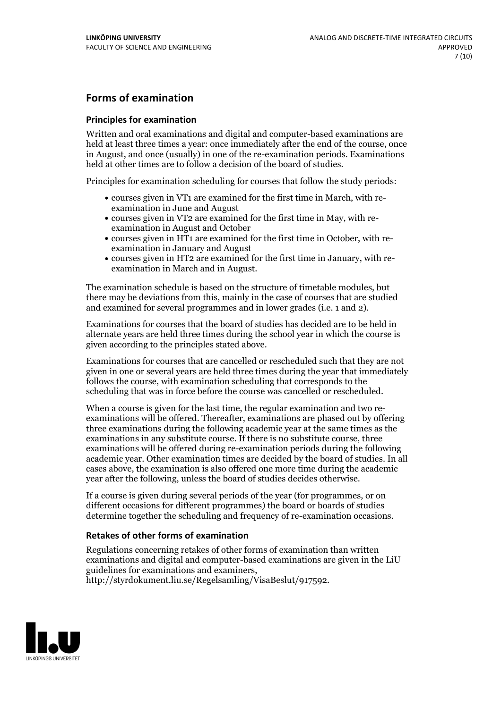#### **Forms of examination**

#### **Principles for examination**

Written and oral examinations and digital and computer-based examinations are held at least three times a year: once immediately after the end of the course, once in August, and once (usually) in one of the re-examination periods. Examinations held at other times are to follow a decision of the board of studies.

Principles for examination scheduling for courses that follow the study periods:

- courses given in VT1 are examined for the first time in March, with re-examination in June and August
- courses given in VT2 are examined for the first time in May, with re-examination in August and October
- courses given in HT1 are examined for the first time in October, with re-examination in January and August
- courses given in HT2 are examined for the first time in January, with re-examination in March and in August.

The examination schedule is based on the structure of timetable modules, but there may be deviations from this, mainly in the case of courses that are studied and examined for several programmes and in lower grades (i.e. 1 and 2).

Examinations for courses that the board of studies has decided are to be held in alternate years are held three times during the school year in which the course is given according to the principles stated above.

Examinations for courses that are cancelled orrescheduled such that they are not given in one or several years are held three times during the year that immediately follows the course, with examination scheduling that corresponds to the scheduling that was in force before the course was cancelled or rescheduled.

When a course is given for the last time, the regular examination and two re-<br>examinations will be offered. Thereafter, examinations are phased out by offering three examinations during the following academic year at the same times as the examinations in any substitute course. If there is no substitute course, three examinations will be offered during re-examination periods during the following academic year. Other examination times are decided by the board of studies. In all cases above, the examination is also offered one more time during the academic year after the following, unless the board of studies decides otherwise.

If a course is given during several periods of the year (for programmes, or on different occasions for different programmes) the board or boards of studies determine together the scheduling and frequency of re-examination occasions.

#### **Retakes of other forms of examination**

Regulations concerning retakes of other forms of examination than written examinations and digital and computer-based examinations are given in the LiU guidelines for examinations and examiners, http://styrdokument.liu.se/Regelsamling/VisaBeslut/917592.

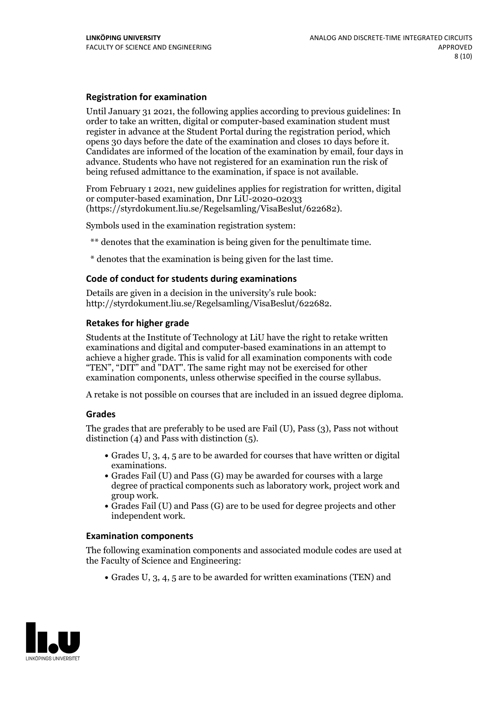#### **Registration for examination**

Until January 31 2021, the following applies according to previous guidelines: In order to take an written, digital or computer-based examination student must register in advance at the Student Portal during the registration period, which Candidates are informed of the location of the examination by email, four days in advance. Students who have not registered for an examination run the risk of being refused admittance to the examination, if space is not available.

From February 1 2021, new guidelines applies for registration for written, digital or computer-based examination, Dnr LiU-2020-02033 (https://styrdokument.liu.se/Regelsamling/VisaBeslut/622682).

Symbols used in the examination registration system:

\*\* denotes that the examination is being given for the penultimate time.

\* denotes that the examination is being given for the last time.

#### **Code of conduct for students during examinations**

Details are given in a decision in the university's rule book: http://styrdokument.liu.se/Regelsamling/VisaBeslut/622682.

#### **Retakes for higher grade**

Students at the Institute of Technology at LiU have the right to retake written examinations and digital and computer-based examinations in an attempt to achieve a higher grade. This is valid for all examination components with code "TEN", "DIT" and "DAT". The same right may not be exercised for other examination components, unless otherwise specified in the course syllabus.

A retake is not possible on courses that are included in an issued degree diploma.

#### **Grades**

The grades that are preferably to be used are Fail (U), Pass (3), Pass not without distinction  $(4)$  and Pass with distinction  $(5)$ .

- Grades U, 3, 4, 5 are to be awarded for courses that have written or digital examinations.<br>• Grades Fail (U) and Pass (G) may be awarded for courses with a large
- degree of practical components such as laboratory work, project work and
- $\bullet$  Grades Fail (U) and Pass (G) are to be used for degree projects and other independent work.

#### **Examination components**

The following examination components and associated module codes are used at the Faculty of Science and Engineering:

Grades U, 3, 4, 5 are to be awarded for written examinations (TEN) and

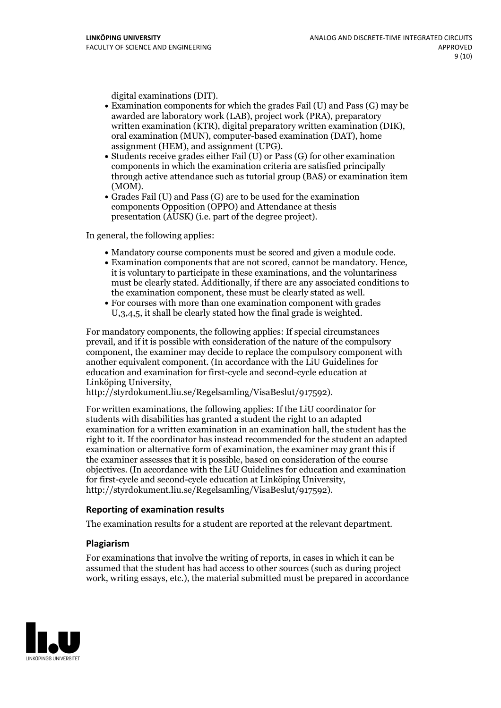- digital examinations (DIT).<br>• Examination components for which the grades Fail (U) and Pass (G) may be awarded are laboratory work (LAB), project work (PRA), preparatory written examination (KTR), digital preparatory written examination (DIK), oral examination (MUN), computer-based examination (DAT), home
- assignment (HEM), and assignment (UPG).<br>• Students receive grades either Fail (U) or Pass (G) for other examination components in which the examination criteria are satisfied principally through active attendance such as tutorial group (BAS) or examination item
- (MOM).<br>• Grades Fail (U) and Pass (G) are to be used for the examination components Opposition (OPPO) and Attendance at thesis presentation (AUSK) (i.e. part of the degree project).

In general, the following applies:

- 
- Mandatory course components must be scored and given <sup>a</sup> module code. Examination components that are not scored, cannot be mandatory. Hence, it is voluntary to participate in these examinations, and the voluntariness must be clearly stated. Additionally, if there are any associated conditions to the examination component, these must be clearly stated as well.<br>• For courses with more than one examination component with grades
- U,3,4,5, it shall be clearly stated how the final grade is weighted.

For mandatory components, the following applies: If special circumstances prevail, and if it is possible with consideration of the nature ofthe compulsory component, the examiner may decide to replace the compulsory component with another equivalent component. (In accordance with the LiU Guidelines for education and examination for first-cycle and second-cycle education at Linköping University, http://styrdokument.liu.se/Regelsamling/VisaBeslut/917592).

For written examinations, the following applies: If the LiU coordinator for students with disabilities has granted a student the right to an adapted examination for a written examination in an examination hall, the student has the right to it. If the coordinator has instead recommended for the student an adapted examination or alternative form of examination, the examiner may grant this if the examiner assesses that it is possible, based on consideration of the course objectives. (In accordance with the LiU Guidelines for education and examination for first-cycle and second-cycle education at Linköping University, http://styrdokument.liu.se/Regelsamling/VisaBeslut/917592).

#### **Reporting of examination results**

The examination results for a student are reported at the relevant department.

#### **Plagiarism**

For examinations that involve the writing of reports, in cases in which it can be assumed that the student has had access to other sources (such as during project work, writing essays, etc.), the material submitted must be prepared in accordance